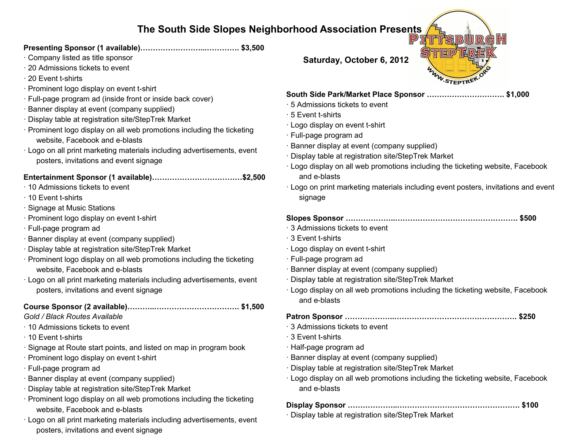## **The South Side Slopes Neighborhood Association Presents**

### **Presenting Sponsor (1 available)……………………...…………. \$3,500**

- · Company listed as title sponsor
- · 20 Admissions tickets to event
- · 20 Event t-shirts
- · Prominent logo display on event t-shirt
- · Full-page program ad (inside front or inside back cover)
- · Banner display at event (company supplied)
- · Display table at registration site/StepTrek Market
- · Prominent logo display on all web promotions including the ticketing website, Facebook and e-blasts
- · Logo on all print marketing materials including advertisements, event posters, invitations and event signage

### **Entertainment Sponsor (1 available)………………………………\$2,500**

- · 10 Admissions tickets to event
- · 10 Event t-shirts
- · Signage at Music Stations
- · Prominent logo display on event t-shirt
- · Full-page program ad
- · Banner display at event (company supplied)
- · Display table at registration site/StepTrek Market
- · Prominent logo display on all web promotions including the ticketing website, Facebook and e-blasts
- · Logo on all print marketing materials including advertisements, event posters, invitations and event signage

### **Course Sponsor (2 available)………..……………………………. \$1,500**

#### *Gold / Black Routes Available*

- · 10 Admissions tickets to event
- · 10 Event t-shirts
- · Signage at Route start points, and listed on map in program book
- · Prominent logo display on event t-shirt
- · Full-page program ad
- · Banner display at event (company supplied)
- · Display table at registration site/StepTrek Market
- · Prominent logo display on all web promotions including the ticketing website, Facebook and e-blasts
- · Logo on all print marketing materials including advertisements, event posters, invitations and event signage

**Saturday, October 6, 2012**

### **South Side Park/Market Place Sponsor …………………………. \$1,000**

- · 5 Admissions tickets to event
- · 5 Event t-shirts
- · Logo display on event t-shirt
- · Full-page program ad
- · Banner display at event (company supplied)
- · Display table at registration site/StepTrek Market
- · Logo display on all web promotions including the ticketing website, Facebook and e-blasts
- · Logo on print marketing materials including event posters, invitations and event signage

# **Slopes Sponsor ………………..…………………………………………. \$500**

- · 3 Admissions tickets to event
- · 3 Event t-shirts
- · Logo display on event t-shirt
- · Full-page program ad
- · Banner display at event (company supplied)
- · Display table at registration site/StepTrek Market
- · Logo display on all web promotions including the ticketing website, Facebook and e-blasts

**Patron Sponsor ………………..…………………………………………. \$250**

- · 3 Admissions tickets to event
- · 3 Event t-shirts
- · Half-page program ad
- · Banner display at event (company supplied)
- · Display table at registration site/StepTrek Market
- · Logo display on all web promotions including the ticketing website, Facebook and e-blasts

### **Display Sponsor ………………..…………………………………………. \$100**

· Display table at registration site/StepTrek Market